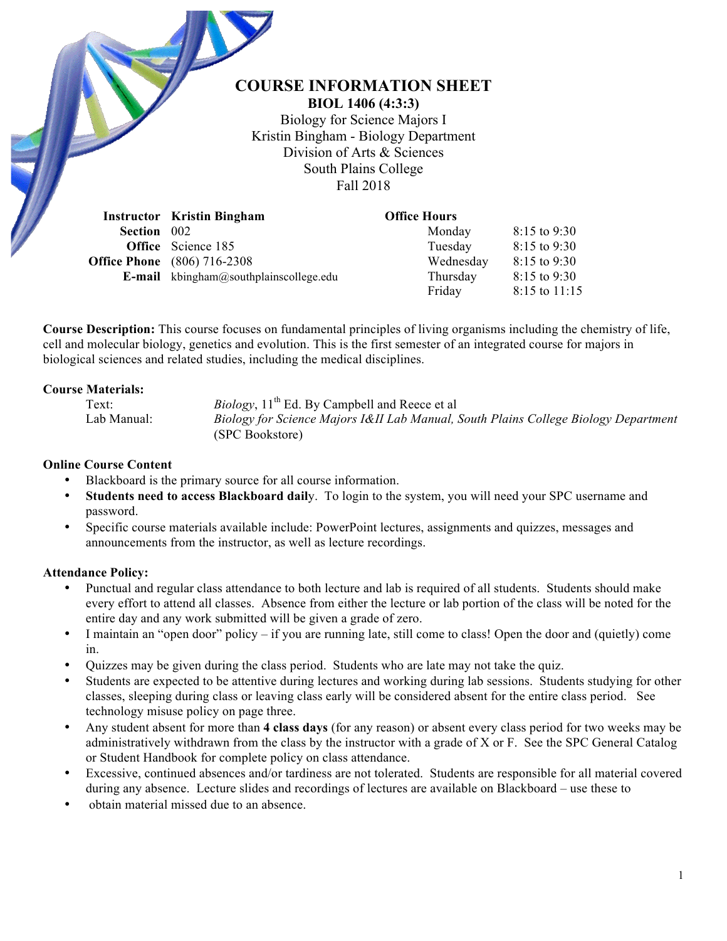# **COURSE INFORMATION SHEET**

**BIOL 1406 (4:3:3)** Biology for Science Majors I Kristin Bingham - Biology Department Division of Arts & Sciences South Plains College Fall 2018

|                    | <b>Instructor</b> Kristin Bingham             | <b>Office Hours</b> |                |
|--------------------|-----------------------------------------------|---------------------|----------------|
| <b>Section</b> 002 |                                               | Monday              | $8:15$ to 9:30 |
|                    | <b>Office</b> Science 185                     | Tuesday             | 8:15 to 9:30   |
|                    | <b>Office Phone</b> (806) 716-2308            | Wednesday           | 8:15 to 9:30   |
|                    | <b>E-mail</b> kbingham@southplainscollege.edu | Thursday            | 8:15 to 9:30   |
|                    |                                               | Friday              | 8:15 to 11:15  |

**Course Description:** This course focuses on fundamental principles of living organisms including the chemistry of life, cell and molecular biology, genetics and evolution. This is the first semester of an integrated course for majors in biological sciences and related studies, including the medical disciplines.

#### **Course Materials:**

Text: *Biology*, 11<sup>th</sup> Ed. By Campbell and Reece et al

Lab Manual: *Biology for Science Majors I&II Lab Manual, South Plains College Biology Department*  (SPC Bookstore)

## **Online Course Content**

- Blackboard is the primary source for all course information.
- **Students need to access Blackboard dail**y. To login to the system, you will need your SPC username and password.
- Specific course materials available include: PowerPoint lectures, assignments and quizzes, messages and announcements from the instructor, as well as lecture recordings.

## **Attendance Policy:**

- Punctual and regular class attendance to both lecture and lab is required of all students. Students should make every effort to attend all classes. Absence from either the lecture or lab portion of the class will be noted for the entire day and any work submitted will be given a grade of zero.
- I maintain an "open door" policy if you are running late, still come to class! Open the door and (quietly) come in.
- Quizzes may be given during the class period. Students who are late may not take the quiz.
- Students are expected to be attentive during lectures and working during lab sessions. Students studying for other classes, sleeping during class or leaving class early will be considered absent for the entire class period. See technology misuse policy on page three.
- Any student absent for more than **4 class days** (for any reason) or absent every class period for two weeks may be administratively withdrawn from the class by the instructor with a grade of X or F. See the SPC General Catalog or Student Handbook for complete policy on class attendance.
- Excessive, continued absences and/or tardiness are not tolerated. Students are responsible for all material covered during any absence. Lecture slides and recordings of lectures are available on Blackboard – use these to
- obtain material missed due to an absence.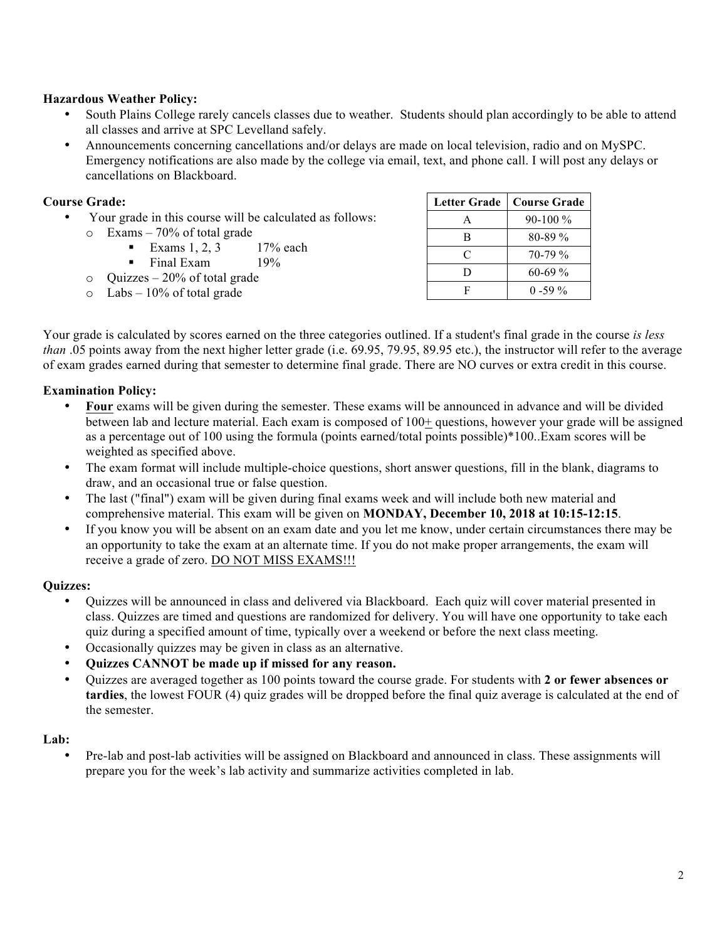### **Hazardous Weather Policy:**

- South Plains College rarely cancels classes due to weather. Students should plan accordingly to be able to attend all classes and arrive at SPC Levelland safely.
- Announcements concerning cancellations and/or delays are made on local television, radio and on MySPC. Emergency notifications are also made by the college via email, text, and phone call. I will post any delays or cancellations on Blackboard.

### **Course Grade:**

- Your grade in this course will be calculated as follows: o Exams – 70% of total grade
	- Exams  $1, 2, 3$  17% each
	- Final Exam 19%
	- $\circ$  Ouizzes 20% of total grade
	- $\circ$  Labs 10% of total grade

| Letter Grade | <b>Course Grade</b> |  |
|--------------|---------------------|--|
| A            | $90-100\%$          |  |
| в            | $80 - 89\%$         |  |
| C            | $70-79\%$           |  |
| D            | $60-69%$            |  |
| F            | $0 - 59\%$          |  |

Your grade is calculated by scores earned on the three categories outlined. If a student's final grade in the course *is less than* .05 points away from the next higher letter grade (i.e. 69.95, 79.95, 89.95 etc.), the instructor will refer to the average of exam grades earned during that semester to determine final grade. There are NO curves or extra credit in this course.

### **Examination Policy:**

- **Four** exams will be given during the semester. These exams will be announced in advance and will be divided between lab and lecture material. Each exam is composed of 100+ questions, however your grade will be assigned as a percentage out of 100 using the formula (points earned/total points possible)\*100..Exam scores will be weighted as specified above.
- The exam format will include multiple-choice questions, short answer questions, fill in the blank, diagrams to draw, and an occasional true or false question.
- The last ("final") exam will be given during final exams week and will include both new material and comprehensive material. This exam will be given on **MONDAY, December 10, 2018 at 10:15-12:15**.
- If you know you will be absent on an exam date and you let me know, under certain circumstances there may be an opportunity to take the exam at an alternate time. If you do not make proper arrangements, the exam will receive a grade of zero. DO NOT MISS EXAMS!!!

#### **Quizzes:**

- Quizzes will be announced in class and delivered via Blackboard. Each quiz will cover material presented in class. Quizzes are timed and questions are randomized for delivery. You will have one opportunity to take each quiz during a specified amount of time, typically over a weekend or before the next class meeting.
- Occasionally quizzes may be given in class as an alternative.
- **Quizzes CANNOT be made up if missed for any reason.**
- Quizzes are averaged together as 100 points toward the course grade. For students with **2 or fewer absences or tardies**, the lowest FOUR (4) quiz grades will be dropped before the final quiz average is calculated at the end of the semester.

#### **Lab:**

• Pre-lab and post-lab activities will be assigned on Blackboard and announced in class. These assignments will prepare you for the week's lab activity and summarize activities completed in lab.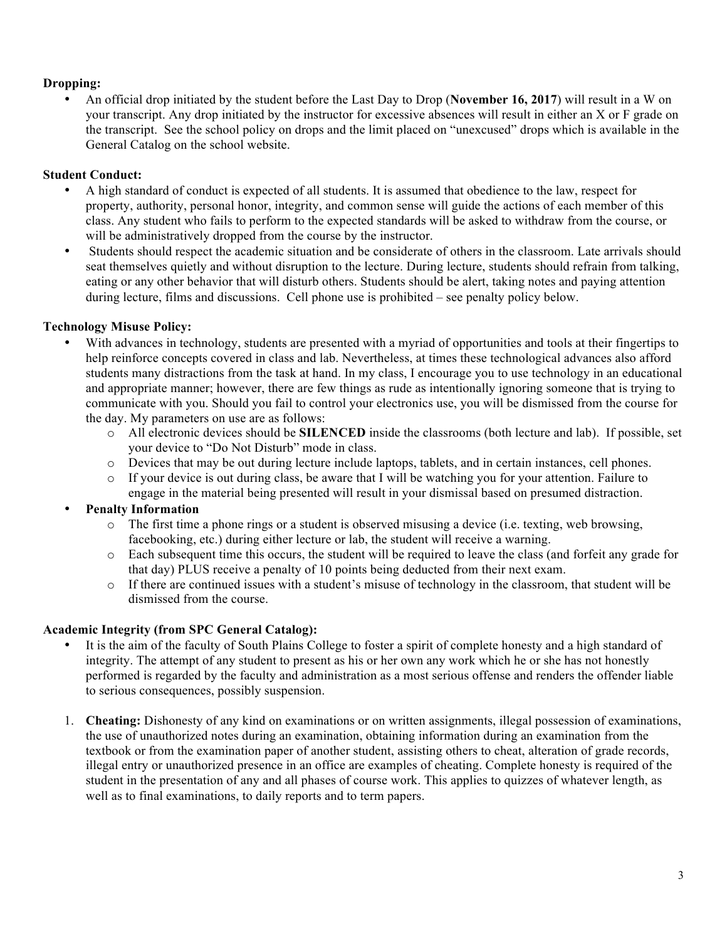## **Dropping:**

• An official drop initiated by the student before the Last Day to Drop (**November 16, 2017**) will result in a W on your transcript. Any drop initiated by the instructor for excessive absences will result in either an X or F grade on the transcript. See the school policy on drops and the limit placed on "unexcused" drops which is available in the General Catalog on the school website.

## **Student Conduct:**

- A high standard of conduct is expected of all students. It is assumed that obedience to the law, respect for property, authority, personal honor, integrity, and common sense will guide the actions of each member of this class. Any student who fails to perform to the expected standards will be asked to withdraw from the course, or will be administratively dropped from the course by the instructor.
- Students should respect the academic situation and be considerate of others in the classroom. Late arrivals should seat themselves quietly and without disruption to the lecture. During lecture, students should refrain from talking, eating or any other behavior that will disturb others. Students should be alert, taking notes and paying attention during lecture, films and discussions. Cell phone use is prohibited – see penalty policy below.

## **Technology Misuse Policy:**

- With advances in technology, students are presented with a myriad of opportunities and tools at their fingertips to help reinforce concepts covered in class and lab. Nevertheless, at times these technological advances also afford students many distractions from the task at hand. In my class, I encourage you to use technology in an educational and appropriate manner; however, there are few things as rude as intentionally ignoring someone that is trying to communicate with you. Should you fail to control your electronics use, you will be dismissed from the course for the day. My parameters on use are as follows:
	- o All electronic devices should be **SILENCED** inside the classrooms (both lecture and lab). If possible, set your device to "Do Not Disturb" mode in class.
	- o Devices that may be out during lecture include laptops, tablets, and in certain instances, cell phones.
	- $\circ$  If your device is out during class, be aware that I will be watching you for your attention. Failure to engage in the material being presented will result in your dismissal based on presumed distraction.

## • **Penalty Information**

- $\circ$  The first time a phone rings or a student is observed misusing a device (i.e. texting, web browsing, facebooking, etc.) during either lecture or lab, the student will receive a warning.
- o Each subsequent time this occurs, the student will be required to leave the class (and forfeit any grade for that day) PLUS receive a penalty of 10 points being deducted from their next exam.
- o If there are continued issues with a student's misuse of technology in the classroom, that student will be dismissed from the course.

# **Academic Integrity (from SPC General Catalog):**

- It is the aim of the faculty of South Plains College to foster a spirit of complete honesty and a high standard of integrity. The attempt of any student to present as his or her own any work which he or she has not honestly performed is regarded by the faculty and administration as a most serious offense and renders the offender liable to serious consequences, possibly suspension.
- 1. **Cheating:** Dishonesty of any kind on examinations or on written assignments, illegal possession of examinations, the use of unauthorized notes during an examination, obtaining information during an examination from the textbook or from the examination paper of another student, assisting others to cheat, alteration of grade records, illegal entry or unauthorized presence in an office are examples of cheating. Complete honesty is required of the student in the presentation of any and all phases of course work. This applies to quizzes of whatever length, as well as to final examinations, to daily reports and to term papers.